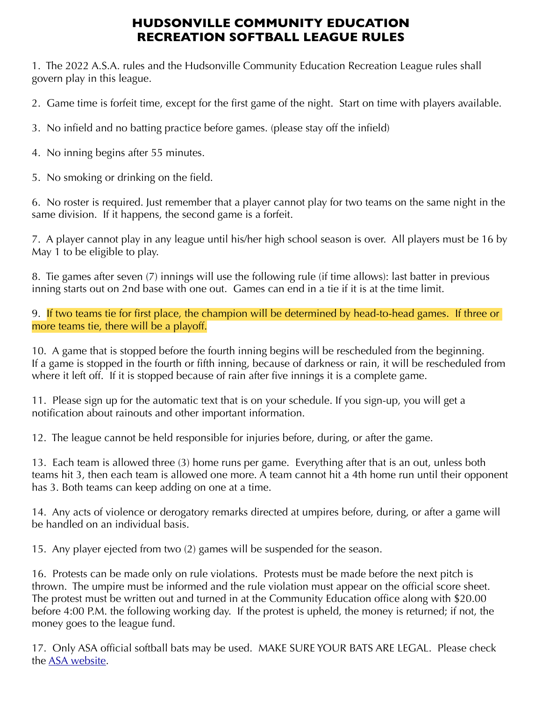## **HUDSONVILLE COMMUNITY EDUCATION RECREATION SOFTBALL LEAGUE RULES**

1. The 2022 A.S.A. rules and the Hudsonville Community Education Recreation League rules shall govern play in this league.

2. Game time is forfeit time, except for the first game of the night. Start on time with players available.

3. No infield and no batting practice before games. (please stay off the infield)

4. No inning begins after 55 minutes.

5. No smoking or drinking on the field.

6. No roster is required. Just remember that a player cannot play for two teams on the same night in the same division. If it happens, the second game is a forfeit.

7. A player cannot play in any league until his/her high school season is over. All players must be 16 by May 1 to be eligible to play.

8. Tie games after seven (7) innings will use the following rule (if time allows): last batter in previous inning starts out on 2nd base with one out. Games can end in a tie if it is at the time limit.

9. If two teams tie for first place, the champion will be determined by head-to-head games. If three or more teams tie, there will be a playoff.

10. A game that is stopped before the fourth inning begins will be rescheduled from the beginning. If a game is stopped in the fourth or fifth inning, because of darkness or rain, it will be rescheduled from where it left off. If it is stopped because of rain after five innings it is a complete game.

11. Please sign up for the automatic text that is on your schedule. If you sign-up, you will get a notification about rainouts and other important information.

12. The league cannot be held responsible for injuries before, during, or after the game.

13. Each team is allowed three (3) home runs per game. Everything after that is an out, unless both teams hit 3, then each team is allowed one more. A team cannot hit a 4th home run until their opponent has 3. Both teams can keep adding on one at a time.

14. Any acts of violence or derogatory remarks directed at umpires before, during, or after a game will be handled on an individual basis.

15. Any player ejected from two (2) games will be suspended for the season.

16. Protests can be made only on rule violations. Protests must be made before the next pitch is thrown. The umpire must be informed and the rule violation must appear on the official score sheet. The protest must be written out and turned in at the Community Education office along with \$20.00 before 4:00 P.M. the following working day. If the protest is upheld, the money is returned; if not, the money goes to the league fund.

17. Only ASA official softball bats may be used. MAKE SURE YOUR BATS ARE LEGAL. Please check the [ASA website.](http://www.teamusa.org/USA-Softball/Play-USA-Softball/Certified-USA-Softball-Equipment)